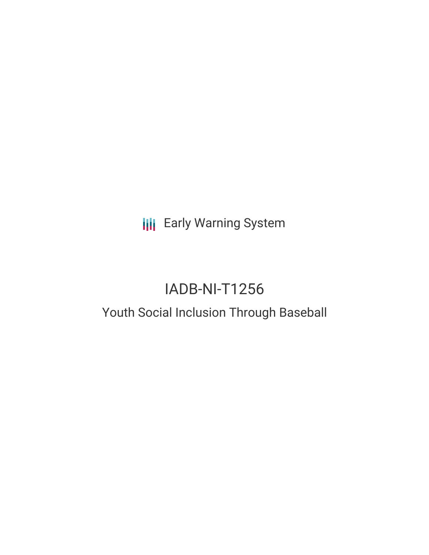**III** Early Warning System

# IADB-NI-T1256

# Youth Social Inclusion Through Baseball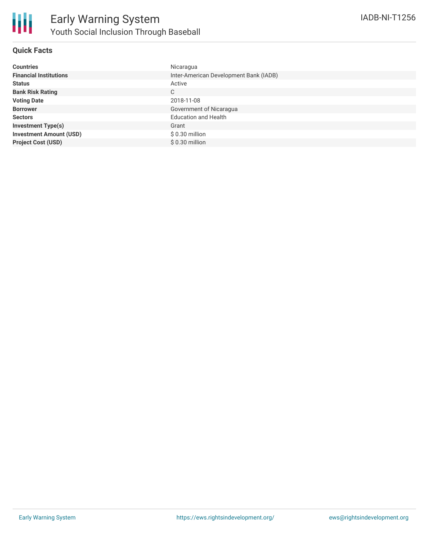

## **Quick Facts**

| <b>Countries</b>               | Nicaragua                              |
|--------------------------------|----------------------------------------|
| <b>Financial Institutions</b>  | Inter-American Development Bank (IADB) |
| <b>Status</b>                  | Active                                 |
| <b>Bank Risk Rating</b>        | C                                      |
| <b>Voting Date</b>             | 2018-11-08                             |
| <b>Borrower</b>                | Government of Nicaragua                |
| <b>Sectors</b>                 | <b>Education and Health</b>            |
| <b>Investment Type(s)</b>      | Grant                                  |
| <b>Investment Amount (USD)</b> | $$0.30$ million                        |
| <b>Project Cost (USD)</b>      | $$0.30$ million                        |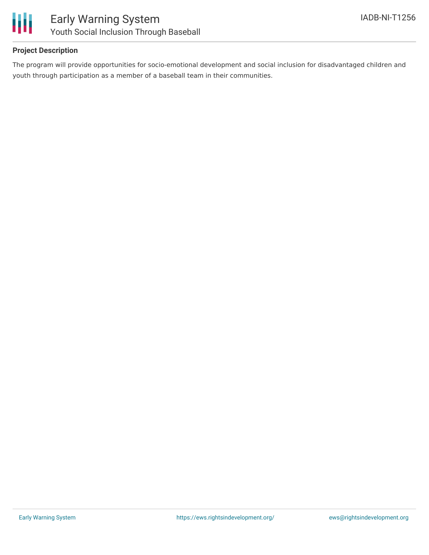

# **Project Description**

The program will provide opportunities for socio-emotional development and social inclusion for disadvantaged children and youth through participation as a member of a baseball team in their communities.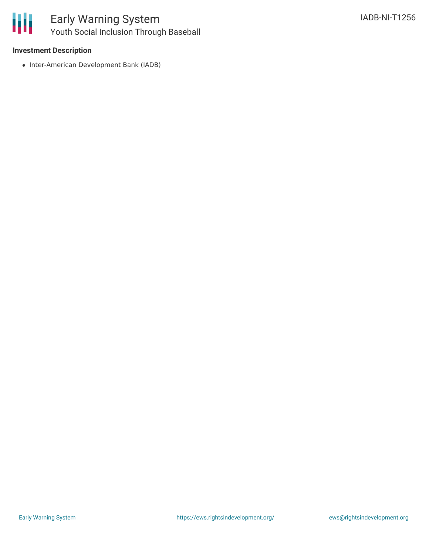

# **Investment Description**

• Inter-American Development Bank (IADB)